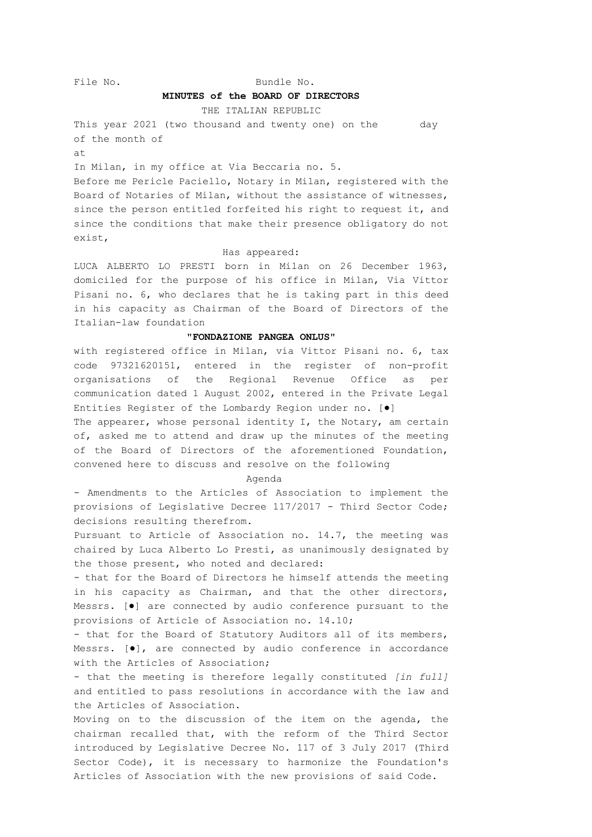# File No. Bundle No.

# **MINUTES of the BOARD OF DIRECTORS**

THE ITALIAN REPUBLIC

This year 2021 (two thousand and twenty one) on the day of the month of at

In Milan, in my office at Via Beccaria no. 5. Before me Pericle Paciello, Notary in Milan, registered with the Board of Notaries of Milan, without the assistance of witnesses, since the person entitled forfeited his right to request it, and since the conditions that make their presence obligatory do not exist,

### Has appeared:

LUCA ALBERTO LO PRESTI born in Milan on 26 December 1963, domiciled for the purpose of his office in Milan, Via Vittor Pisani no. 6, who declares that he is taking part in this deed in his capacity as Chairman of the Board of Directors of the Italian-law foundation

## **"FONDAZIONE PANGEA ONLUS"**

with registered office in Milan, via Vittor Pisani no. 6, tax code 97321620151, entered in the register of non-profit organisations of the Regional Revenue Office as per communication dated 1 August 2002, entered in the Private Legal Entities Register of the Lombardy Region under no. [●]

The appearer, whose personal identity I, the Notary, am certain of, asked me to attend and draw up the minutes of the meeting of the Board of Directors of the aforementioned Foundation, convened here to discuss and resolve on the following

#### Agenda

- Amendments to the Articles of Association to implement the provisions of Legislative Decree 117/2017 - Third Sector Code; decisions resulting therefrom.

Pursuant to Article of Association no. 14.7, the meeting was chaired by Luca Alberto Lo Presti, as unanimously designated by the those present, who noted and declared:

- that for the Board of Directors he himself attends the meeting in his capacity as Chairman, and that the other directors, Messrs. [●] are connected by audio conference pursuant to the provisions of Article of Association no. 14.10;

- that for the Board of Statutory Auditors all of its members, Messrs. [●], are connected by audio conference in accordance with the Articles of Association;

- that the meeting is therefore legally constituted *[in full]* and entitled to pass resolutions in accordance with the law and the Articles of Association.

Moving on to the discussion of the item on the agenda, the chairman recalled that, with the reform of the Third Sector introduced by Legislative Decree No. 117 of 3 July 2017 (Third Sector Code), it is necessary to harmonize the Foundation's Articles of Association with the new provisions of said Code.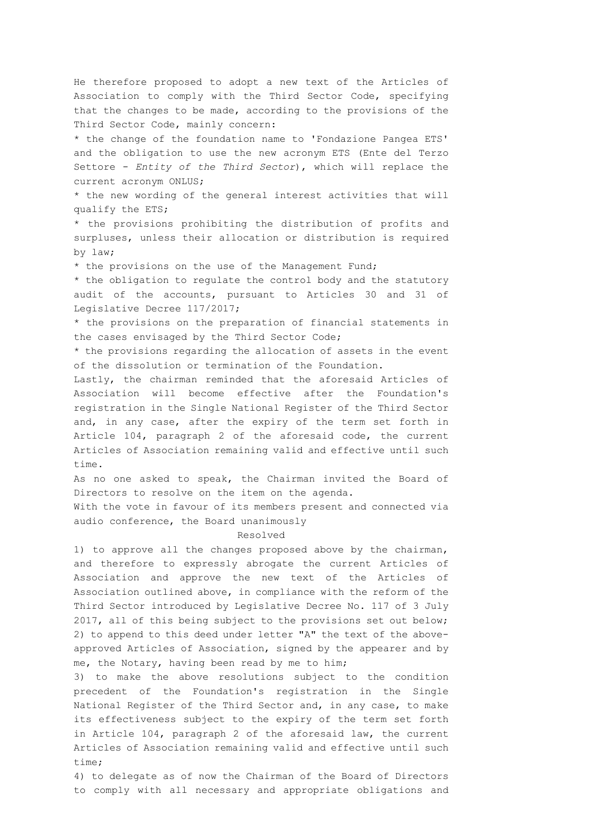He therefore proposed to adopt a new text of the Articles of Association to comply with the Third Sector Code, specifying that the changes to be made, according to the provisions of the Third Sector Code, mainly concern:

\* the change of the foundation name to 'Fondazione Pangea ETS' and the obligation to use the new acronym ETS (Ente del Terzo Settore - *Entity of the Third Sector*), which will replace the current acronym ONLUS;

\* the new wording of the general interest activities that will qualify the ETS;

\* the provisions prohibiting the distribution of profits and surpluses, unless their allocation or distribution is required by law;

\* the provisions on the use of the Management Fund;

\* the obligation to regulate the control body and the statutory audit of the accounts, pursuant to Articles 30 and 31 of Legislative Decree 117/2017;

\* the provisions on the preparation of financial statements in the cases envisaged by the Third Sector Code;

\* the provisions regarding the allocation of assets in the event of the dissolution or termination of the Foundation.

Lastly, the chairman reminded that the aforesaid Articles of Association will become effective after the Foundation's registration in the Single National Register of the Third Sector and, in any case, after the expiry of the term set forth in Article 104, paragraph 2 of the aforesaid code, the current Articles of Association remaining valid and effective until such time.

As no one asked to speak, the Chairman invited the Board of Directors to resolve on the item on the agenda.

With the vote in favour of its members present and connected via audio conference, the Board unanimously

### Resolved

1) to approve all the changes proposed above by the chairman, and therefore to expressly abrogate the current Articles of Association and approve the new text of the Articles of Association outlined above, in compliance with the reform of the Third Sector introduced by Legislative Decree No. 117 of 3 July 2017, all of this being subject to the provisions set out below; 2) to append to this deed under letter "A" the text of the aboveapproved Articles of Association, signed by the appearer and by me, the Notary, having been read by me to him;

3) to make the above resolutions subject to the condition precedent of the Foundation's registration in the Single National Register of the Third Sector and, in any case, to make its effectiveness subject to the expiry of the term set forth in Article 104, paragraph 2 of the aforesaid law, the current Articles of Association remaining valid and effective until such time;

4) to delegate as of now the Chairman of the Board of Directors to comply with all necessary and appropriate obligations and